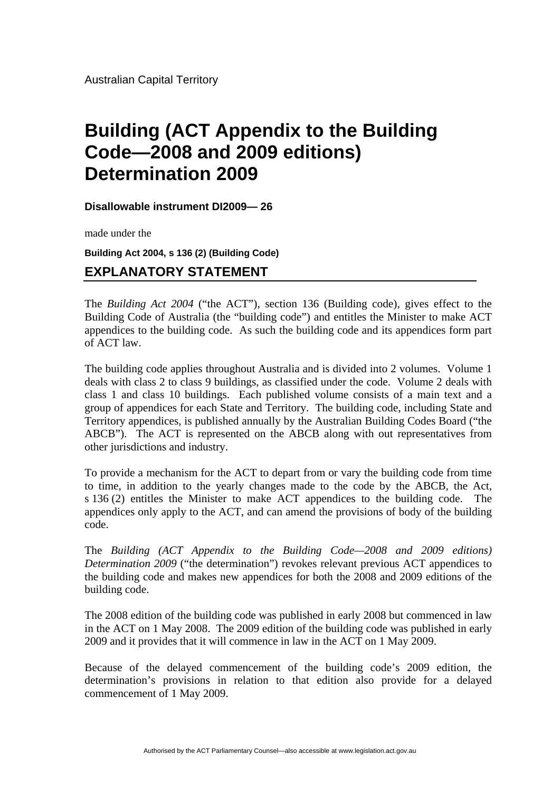## **Building (ACT Appendix to the Building Code—2008 and 2009 editions) Determination 2009**

**Disallowable instrument DI2009— 26**

made under the

**Building Act 2004, s 136 (2) (Building Code)** 

## **EXPLANATORY STATEMENT**

The *Building Act 2004* ("the ACT"), section 136 (Building code), gives effect to the Building Code of Australia (the "building code") and entitles the Minister to make ACT appendices to the building code. As such the building code and its appendices form part of ACT law.

The building code applies throughout Australia and is divided into 2 volumes. Volume 1 deals with class 2 to class 9 buildings, as classified under the code. Volume 2 deals with class 1 and class 10 buildings. Each published volume consists of a main text and a group of appendices for each State and Territory. The building code, including State and Territory appendices, is published annually by the Australian Building Codes Board ("the ABCB"). The ACT is represented on the ABCB along with out representatives from other jurisdictions and industry.

To provide a mechanism for the ACT to depart from or vary the building code from time to time, in addition to the yearly changes made to the code by the ABCB, the Act, s 136 (2) entitles the Minister to make ACT appendices to the building code. The appendices only apply to the ACT, and can amend the provisions of body of the building code.

The *Building (ACT Appendix to the Building Code—2008 and 2009 editions) Determination 2009* ("the determination") revokes relevant previous ACT appendices to the building code and makes new appendices for both the 2008 and 2009 editions of the building code.

The 2008 edition of the building code was published in early 2008 but commenced in law in the ACT on 1 May 2008. The 2009 edition of the building code was published in early 2009 and it provides that it will commence in law in the ACT on 1 May 2009.

Because of the delayed commencement of the building code's 2009 edition, the determination's provisions in relation to that edition also provide for a delayed commencement of 1 May 2009.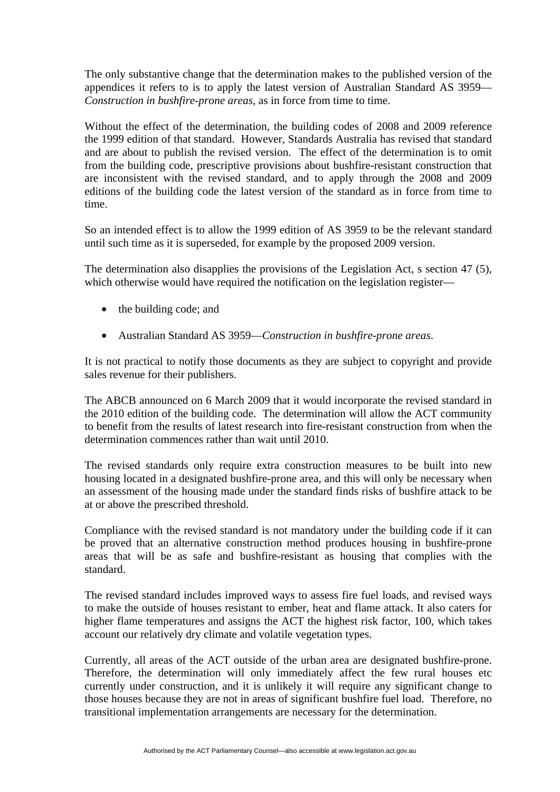The only substantive change that the determination makes to the published version of the appendices it refers to is to apply the latest version of Australian Standard AS 3959— *Construction in bushfire-prone areas*, as in force from time to time.

Without the effect of the determination, the building codes of 2008 and 2009 reference the 1999 edition of that standard. However, Standards Australia has revised that standard and are about to publish the revised version. The effect of the determination is to omit from the building code, prescriptive provisions about bushfire-resistant construction that are inconsistent with the revised standard, and to apply through the 2008 and 2009 editions of the building code the latest version of the standard as in force from time to time.

So an intended effect is to allow the 1999 edition of AS 3959 to be the relevant standard until such time as it is superseded, for example by the proposed 2009 version.

The determination also disapplies the provisions of the Legislation Act, s section 47 (5), which otherwise would have required the notification on the legislation register—

- the building code; and
- Australian Standard AS 3959—*Construction in bushfire-prone areas*.

It is not practical to notify those documents as they are subject to copyright and provide sales revenue for their publishers.

The ABCB announced on 6 March 2009 that it would incorporate the revised standard in the 2010 edition of the building code. The determination will allow the ACT community to benefit from the results of latest research into fire-resistant construction from when the determination commences rather than wait until 2010.

The revised standards only require extra construction measures to be built into new housing located in a designated bushfire-prone area, and this will only be necessary when an assessment of the housing made under the standard finds risks of bushfire attack to be at or above the prescribed threshold.

Compliance with the revised standard is not mandatory under the building code if it can be proved that an alternative construction method produces housing in bushfire-prone areas that will be as safe and bushfire-resistant as housing that complies with the standard.

The revised standard includes improved ways to assess fire fuel loads, and revised ways to make the outside of houses resistant to ember, heat and flame attack. It also caters for higher flame temperatures and assigns the ACT the highest risk factor, 100, which takes account our relatively dry climate and volatile vegetation types.

Currently, all areas of the ACT outside of the urban area are designated bushfire-prone. Therefore, the determination will only immediately affect the few rural houses etc currently under construction, and it is unlikely it will require any significant change to those houses because they are not in areas of significant bushfire fuel load. Therefore, no transitional implementation arrangements are necessary for the determination.